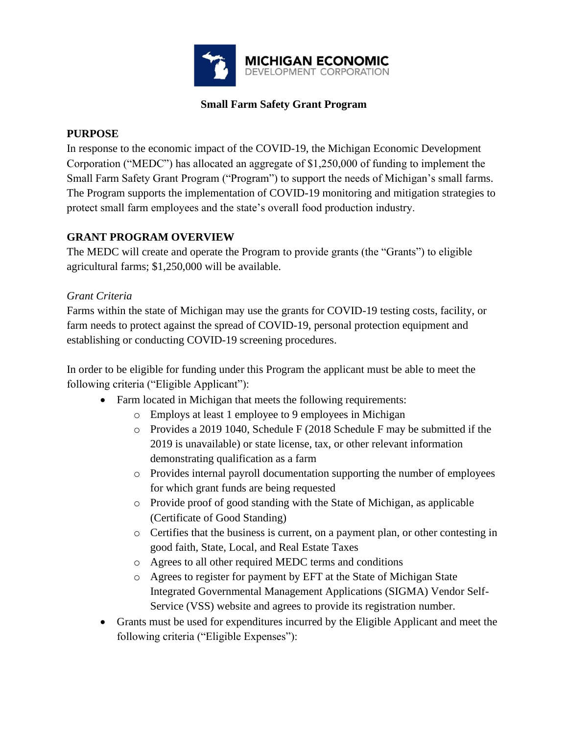

## **Small Farm Safety Grant Program**

## **PURPOSE**

In response to the economic impact of the COVID-19, the Michigan Economic Development Corporation ("MEDC") has allocated an aggregate of \$1,250,000 of funding to implement the Small Farm Safety Grant Program ("Program") to support the needs of Michigan's small farms. The Program supports the implementation of COVID-19 monitoring and mitigation strategies to protect small farm employees and the state's overall food production industry.

## **GRANT PROGRAM OVERVIEW**

The MEDC will create and operate the Program to provide grants (the "Grants") to eligible agricultural farms; \$1,250,000 will be available.

## *Grant Criteria*

Farms within the state of Michigan may use the grants for COVID-19 testing costs, facility, or farm needs to protect against the spread of COVID-19, personal protection equipment and establishing or conducting COVID-19 screening procedures.

In order to be eligible for funding under this Program the applicant must be able to meet the following criteria ("Eligible Applicant"):

- Farm located in Michigan that meets the following requirements:
	- o Employs at least 1 employee to 9 employees in Michigan
	- $\circ$  Provides a 2019 1040, Schedule F (2018 Schedule F may be submitted if the 2019 is unavailable) or state license, tax, or other relevant information demonstrating qualification as a farm
	- o Provides internal payroll documentation supporting the number of employees for which grant funds are being requested
	- o Provide proof of good standing with the State of Michigan, as applicable (Certificate of Good Standing)
	- o Certifies that the business is current, on a payment plan, or other contesting in good faith, State, Local, and Real Estate Taxes
	- o Agrees to all other required MEDC terms and conditions
	- o Agrees to register for payment by EFT at the State of Michigan State Integrated Governmental Management Applications (SIGMA) Vendor Self-Service (VSS) website and agrees to provide its registration number.
- Grants must be used for expenditures incurred by the Eligible Applicant and meet the following criteria ("Eligible Expenses"):